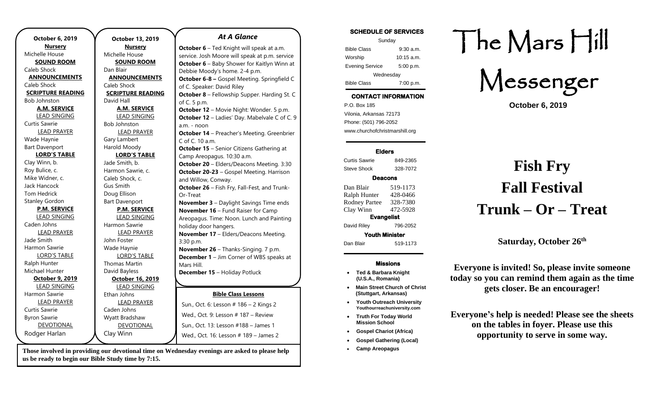| October 6, 2019          |  |
|--------------------------|--|
| <u>Nursery</u>           |  |
| Michelle House           |  |
| <b>SOUND ROOM</b>        |  |
| Caleb Shock              |  |
| <b>ANNOUNCEMENTS</b>     |  |
| Caleb Shock              |  |
| <b>SCRIPTURE READING</b> |  |
| Bob Johnston             |  |
| <b>A.M. SERVICE</b>      |  |
| <b>LEAD SINGING</b>      |  |
| Curtis Sawrie            |  |
| <b>LEAD PRAYER</b>       |  |
| Wade Haynie              |  |
| <b>Bart Davenport</b>    |  |
| <b>LORD'S TABLE</b>      |  |
| Clay Winn, b.            |  |
| Roy Bulice, c.           |  |
| Mike Widner, c.          |  |
| Jack Hancock             |  |
| Tom Hedrick              |  |
| <b>Stanley Gordon</b>    |  |
| <b>P.M. SERVICE</b>      |  |
| <b>LEAD SINGING</b>      |  |
| Caden Johns              |  |
| <b>LEAD PRAYER</b>       |  |
| Jade Smith               |  |
| Harmon Sawrie            |  |
| <b>LORD'S TABLE</b>      |  |
| Ralph Hunter             |  |
| Michael Hunter           |  |
| October 9, 2019          |  |
| <b>LEAD SINGING</b>      |  |
| Harmon Sawrie            |  |
| <b>LEAD PRAYER</b>       |  |
| Curtis Sawrie            |  |
| <b>Byron Sawrie</b>      |  |
| <b>DEVOTIONAL</b>        |  |
| Rodger Harlan            |  |

**October 13, 2019 Nursery** Michelle House **SOUND ROOM** Dan Blair **ANNOUNCEMENTS** Caleb Shock **SCRIPTURE READING** David Hall **A.M. SERVICE** LEAD SINGING Bob Johnston LEAD PRAYER Gary Lambert Harold Moody **LORD'S TABLE** Jade Smith, b. Harmon Sawrie, c. Caleb Shock, c. Gus Smith Doug Ellison Bart Davenport **P.M. SERVICE** LEAD SINGING Harmon Sawrie LEAD PRAYER John Foster Wade Haynie LORD'S TABLE Thomas Martin David Bayless **October 16, 2019** LEAD SINGING Ethan Johns LEAD PRAYER Caden Johns Wyatt Bradshaw DEVOTIONAL Clay Winn of C. 5 p.m. a.m. - noon C of C. 10 a.m. Or-Treat 3:30 p.m. Mars Hill. Sun., Oct. 13: Lesson #188 – James 1 Wed., Oct. 16: Lesson # 189 – James 2

#### *At A Glance*

**October 6** – Ted Knight will speak at a.m. service. Josh Moore will speak at p.m. service **October 6** – Baby Shower for Kaitlyn Winn at Debbie Moody's home. 2-4 p.m. **October 6-8 –** Gospel Meeting. Springfield C of C. Speaker: David Riley **October 8** – Fellowship Supper. Harding St. C **October 12** – Movie Night: Wonder. 5 p.m. **October 12** – Ladies' Day. Mabelvale C of C. 9 **October 14** – Preacher's Meeting. Greenbrier **October 15** – Senior Citizens Gathering at Camp Areopagus. 10:30 a.m. **October 20** – Elders/Deacons Meeting. 3:30 **October 20-23** – Gospel Meeting. Harrison and Willow, Conway. **October 26** – Fish Fry, Fall-Fest, and Trunk-**November 3** – Daylight Savings Time ends **November 16** – Fund Raiser for Camp Areopagus. Time: Noon. Lunch and Painting holiday door hangers. **November 17** – Elders/Deacons Meeting. **November 26** – Thanks-Singing. 7 p.m. **December 1** – Jim Corner of WBS speaks at **December 15** – Holiday Potluck **January 24-26** – Youth Outreach University **Bible Class Lessons** Sun., Oct. 6: Lesson # 186 – 2 Kings 2 Wed., Oct. 9: Lesson # 187 – Review

**SCHEDULE OF SERVICES** 

| Sunday                 |              |  |
|------------------------|--------------|--|
| <b>Bible Class</b>     | $9:30$ a.m.  |  |
| Worship                | $10:15$ a.m. |  |
| <b>Evening Service</b> | 5:00 p.m.    |  |
| Wednesday              |              |  |
| <b>Bible Class</b>     | 7:00 p.m.    |  |

# **CONTACT INFORMATION**

. .o. Box 166<br>Vilonia, Arkansas 72173 P.O. Box 185 Phone: (501) 796-2052 www.churchofchristmarshill.org

### **Elders**

Curtis Sawrie 849-2365 Steve Shock 328-7072

### **Deacons**

Dan Blair 519-1173 Ralph Hunter 428-0466 Rodney Partee 328-7380 Clay Winn 472-5928 **Evangelist**  David Riley 796-2052 **Youth Minister**  Dan Blair 519-1173

### **Missions**

- **Ted & Barbara Knight (U.S.A., Romania)**
- **Main Street Church of Christ (Stuttgart, Arkansas)**
- **Youth Outreach University Youthourreachuniversity.com**
- **Truth For Today World Mission School**
- **Gospel Chariot (Africa)**
- **Gospel Gathering (Local)**
- **Camp Areopagus**

# The Mars Hill

Messenger

**October 6, 2019**

# **Fish Fry Fall Festival Trunk – Or – Treat**

**Saturday, October 26th**

**Everyone is invited! So, please invite someone today so you can remind them again as the time gets closer. Be an encourager!**

**Everyone's help is needed! Please see the sheets on the tables in foyer. Please use this opportunity to serve in some way.** 

**Those involved in providing our devotional time on Wednesday evenings are asked to please help us be ready to begin our Bible Study time by 7:15.**